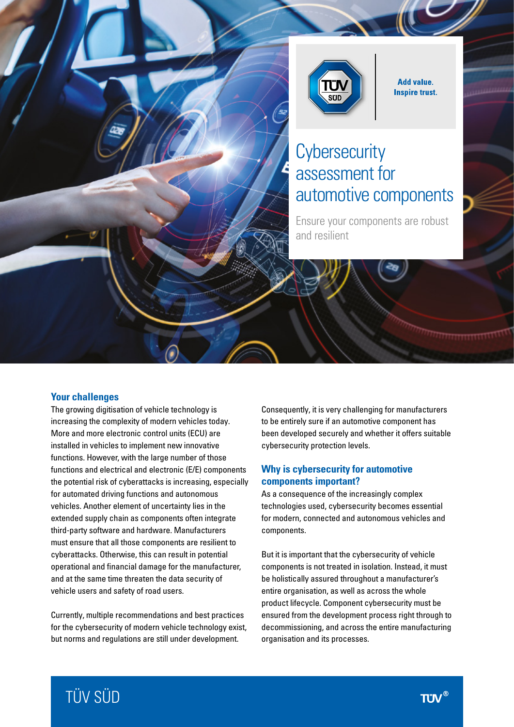

**Add value. Inspire trust.** 

# **Cybersecurity** assessment for automotive components

Ensure your components are robust and resilient

### **Your challenges**

The growing digitisation of vehicle technology is increasing the complexity of modern vehicles today. More and more electronic control units (ECU) are installed in vehicles to implement new innovative functions. However, with the large number of those functions and electrical and electronic (E/E) components the potential risk of cyberattacks is increasing, especially for automated driving functions and autonomous vehicles. Another element of uncertainty lies in the extended supply chain as components often integrate third-party software and hardware. Manufacturers must ensure that all those components are resilient to cyberattacks. Otherwise, this can result in potential operational and financial damage for the manufacturer, and at the same time threaten the data security of vehicle users and safety of road users.

Currently, multiple recommendations and best practices for the cybersecurity of modern vehicle technology exist, but norms and regulations are still under development.

Consequently, it is very challenging for manufacturers to be entirely sure if an automotive component has been developed securely and whether it offers suitable cybersecurity protection levels.

#### **Why is cybersecurity for automotive components important?**

As a consequence of the increasingly complex technologies used, cybersecurity becomes essential for modern, connected and autonomous vehicles and components.

But it is important that the cybersecurity of vehicle components is not treated in isolation. Instead, it must be holistically assured throughout a manufacturer's entire organisation, as well as across the whole product lifecycle. Component cybersecurity must be ensured from the development process right through to decommissioning, and across the entire manufacturing organisation and its processes.

# TÜV SÜD